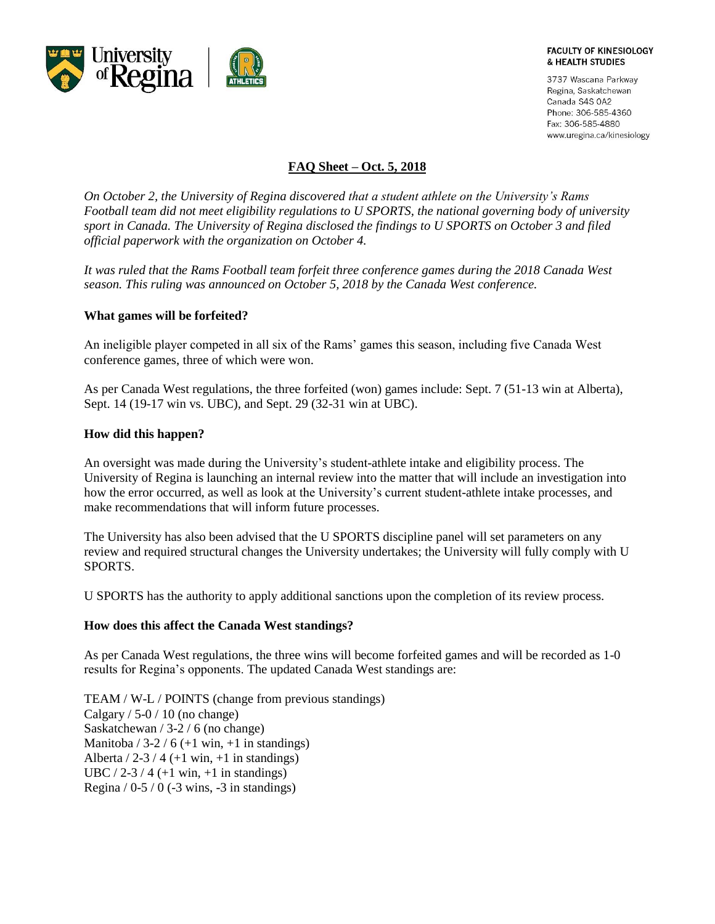

#### **FACULTY OF KINESIOLOGY** & HEALTH STUDIES

3737 Wascana Parkway Regina, Saskatchewan Canada S4S 0A2 Phone: 306-585-4360 Fax: 306-585-4880 www.uregina.ca/kinesiology

# **FAQ Sheet – Oct. 5, 2018**

*On October 2, the University of Regina discovered that a student athlete on the University's Rams Football team did not meet eligibility regulations to U SPORTS, the national governing body of university sport in Canada. The University of Regina disclosed the findings to U SPORTS on October 3 and filed official paperwork with the organization on October 4.*

*It was ruled that the Rams Football team forfeit three conference games during the 2018 Canada West season. This ruling was announced on October 5, 2018 by the Canada West conference.* 

## **What games will be forfeited?**

An ineligible player competed in all six of the Rams' games this season, including five Canada West conference games, three of which were won.

As per Canada West regulations, the three forfeited (won) games include: Sept. 7 (51-13 win at Alberta), Sept. 14 (19-17 win vs. UBC), and Sept. 29 (32-31 win at UBC).

### **How did this happen?**

An oversight was made during the University's student-athlete intake and eligibility process. The University of Regina is launching an internal review into the matter that will include an investigation into how the error occurred, as well as look at the University's current student-athlete intake processes, and make recommendations that will inform future processes.

The University has also been advised that the U SPORTS discipline panel will set parameters on any review and required structural changes the University undertakes; the University will fully comply with U SPORTS.

U SPORTS has the authority to apply additional sanctions upon the completion of its review process.

#### **How does this affect the Canada West standings?**

As per Canada West regulations, the three wins will become forfeited games and will be recorded as 1-0 results for Regina's opponents. The updated Canada West standings are:

TEAM / W-L / POINTS (change from previous standings) Calgary  $/ 5$ -0  $/ 10$  (no change) Saskatchewan / 3-2 / 6 (no change) Manitoba /  $3-2$  / 6 (+1 win, +1 in standings) Alberta  $/ 2-3/4$  (+1 win, +1 in standings) UBC / 2-3 / 4 (+1 win, +1 in standings) Regina  $/ 0.5 / 0$  (-3 wins, -3 in standings)